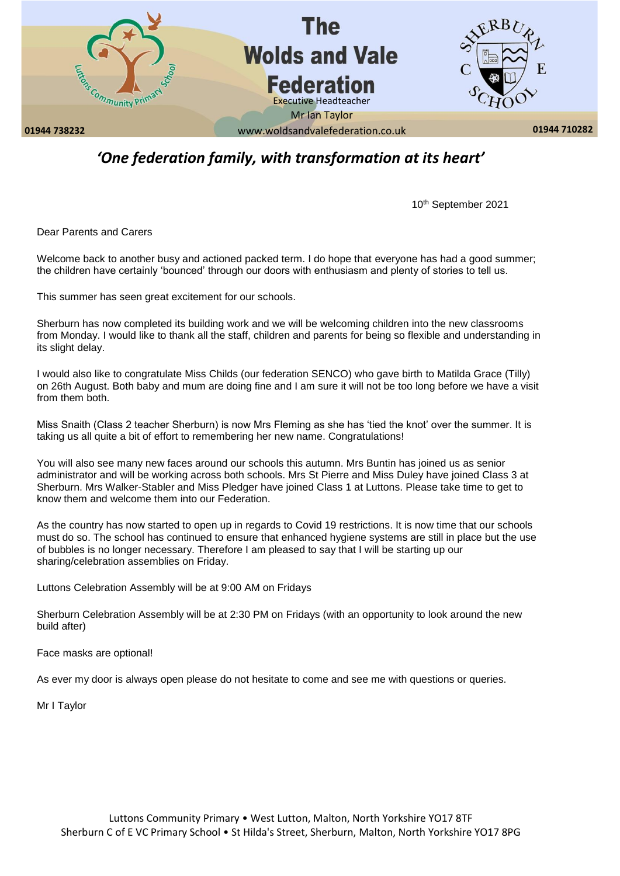

# *'One federation family, with transformation at its heart'*

10th September 2021

Dear Parents and Carers

Welcome back to another busy and actioned packed term. I do hope that everyone has had a good summer; the children have certainly 'bounced' through our doors with enthusiasm and plenty of stories to tell us.

This summer has seen great excitement for our schools.

Sherburn has now completed its building work and we will be welcoming children into the new classrooms from Monday. I would like to thank all the staff, children and parents for being so flexible and understanding in its slight delay.

I would also like to congratulate Miss Childs (our federation SENCO) who gave birth to Matilda Grace (Tilly) on 26th August. Both baby and mum are doing fine and I am sure it will not be too long before we have a visit from them both.

Miss Snaith (Class 2 teacher Sherburn) is now Mrs Fleming as she has 'tied the knot' over the summer. It is taking us all quite a bit of effort to remembering her new name. Congratulations!

You will also see many new faces around our schools this autumn. Mrs Buntin has joined us as senior administrator and will be working across both schools. Mrs St Pierre and Miss Duley have joined Class 3 at Sherburn. Mrs Walker-Stabler and Miss Pledger have joined Class 1 at Luttons. Please take time to get to know them and welcome them into our Federation.

As the country has now started to open up in regards to Covid 19 restrictions. It is now time that our schools must do so. The school has continued to ensure that enhanced hygiene systems are still in place but the use of bubbles is no longer necessary. Therefore I am pleased to say that I will be starting up our sharing/celebration assemblies on Friday.

Luttons Celebration Assembly will be at 9:00 AM on Fridays

Sherburn Celebration Assembly will be at 2:30 PM on Fridays (with an opportunity to look around the new build after)

Face masks are optional!

As ever my door is always open please do not hesitate to come and see me with questions or queries.

Mr I Taylor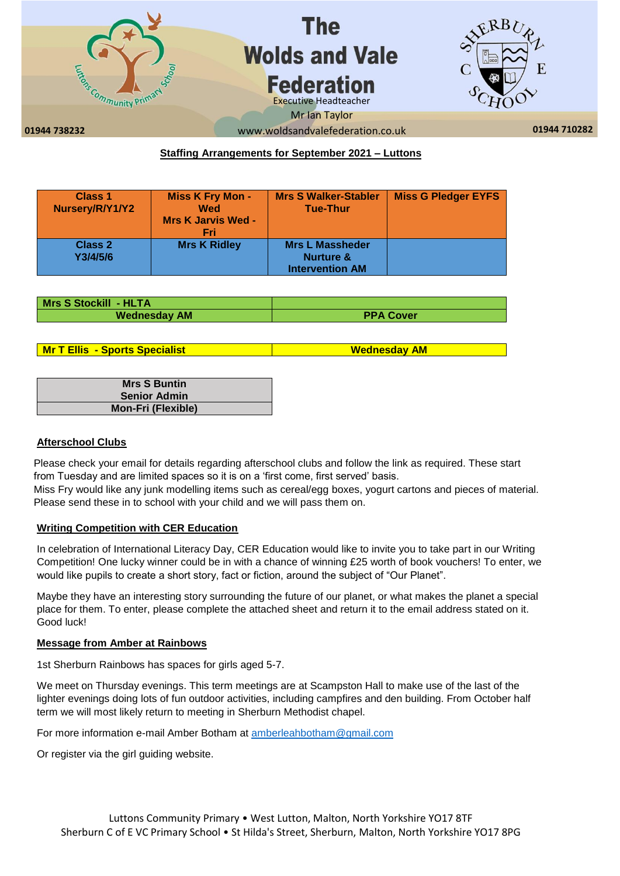

# **Staffing Arrangements for September 2021 – Luttons**

| <b>Class 1</b><br>Nursery/R/Y1/Y2 | <b>Miss K Fry Mon -</b><br>Wed<br><b>Mrs K Jarvis Wed -</b><br>Fri | <b>Mrs S Walker-Stabler</b><br><b>Tue-Thur</b>                           | <b>Miss G Pledger EYFS</b> |
|-----------------------------------|--------------------------------------------------------------------|--------------------------------------------------------------------------|----------------------------|
| <b>Class 2</b><br>Y3/4/5/6        | <b>Mrs K Ridley</b>                                                | <b>Mrs L Massheder</b><br><b>Nurture &amp;</b><br><b>Intervention AM</b> |                            |

| Mrs S Stockill - HLTA |                  |
|-----------------------|------------------|
| <b>Wednesday AM</b>   | <b>PPA Cover</b> |

**Mr T Ellis - Sports Specialist Wednesday AM** 

| <b>Mrs S Buntin</b>       |
|---------------------------|
| <b>Senior Admin</b>       |
| <b>Mon-Fri (Flexible)</b> |

# **Afterschool Clubs**

Please check your email for details regarding afterschool clubs and follow the link as required. These start from Tuesday and are limited spaces so it is on a 'first come, first served' basis.

Miss Fry would like any junk modelling items such as cereal/egg boxes, yogurt cartons and pieces of material. Please send these in to school with your child and we will pass them on.

#### **Writing Competition with CER Education**

In celebration of International Literacy Day, CER Education would like to invite you to take part in our Writing Competition! One lucky winner could be in with a chance of winning £25 worth of book vouchers! To enter, we would like pupils to create a short story, fact or fiction, around the subject of "Our Planet".

Maybe they have an interesting story surrounding the future of our planet, or what makes the planet a special place for them. To enter, please complete the attached sheet and return it to the email address stated on it. Good luck!

# **Message from Amber at Rainbows**

1st Sherburn Rainbows has spaces for girls aged 5-7.

We meet on Thursday evenings. This term meetings are at Scampston Hall to make use of the last of the lighter evenings doing lots of fun outdoor activities, including campfires and den building. From October half term we will most likely return to meeting in Sherburn Methodist chapel.

For more information e-mail Amber Botham at [amberleahbotham@gmail.com](mailto:amberleahbotham@gmail.com)

Or register via the girl guiding website.